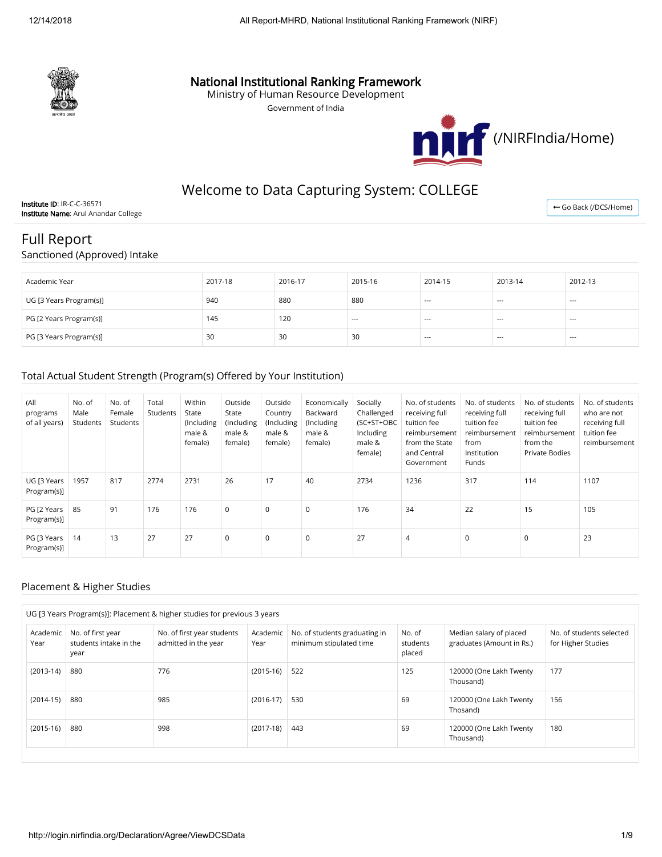

## National Institutional Ranking Framework

Ministry of Human Resource Development

Government of India



## Welcome to Data Capturing System: COLLEGE

Institute ID: IR-C-C-36571 Institute Name: Arul Anandar College

← [Go Back \(/DCS/Home\)](http://login.nirfindia.org/DCS/Home)

# Full Report

Sanctioned (Approved) Intake

| Academic Year           | 2017-18 | 2016-17 | 2015-16 | 2014-15 | 2013-14                  | 2012-13              |
|-------------------------|---------|---------|---------|---------|--------------------------|----------------------|
| UG [3 Years Program(s)] | 940     | 880     | 880     | $- - -$ | $--$                     | $- - -$              |
| PG [2 Years Program(s)] | 145     | 120     | $---$   | $--$    | $--$                     | $- - -$              |
| PG [3 Years Program(s)] | 30      | 30      | 30      | $--$    | $\hspace{0.05cm} \ldots$ | $\sim$ $\sim$ $\sim$ |

#### Total Actual Student Strength (Program(s) Offered by Your Institution)

| (All<br>programs<br>of all years) | No. of<br>Male<br>Students | No. of<br>Female<br>Students | Total<br>Students | Within<br>State<br>(Including<br>male &<br>female) | Outside<br>State<br>(Including<br>male &<br>female) | Outside<br>Country<br>(Including<br>male &<br>female) | Economically<br>Backward<br>(Including<br>male &<br>female) | Socially<br>Challenged<br>(SC+ST+OBC<br>Including<br>male &<br>female) | No. of students<br>receiving full<br>tuition fee<br>reimbursement<br>from the State<br>and Central<br>Government | No. of students<br>receiving full<br>tuition fee<br>reimbursement<br>from<br>Institution<br>Funds | No. of students<br>receiving full<br>tuition fee<br>reimbursement<br>from the<br><b>Private Bodies</b> | No. of students<br>who are not<br>receiving full<br>tuition fee<br>reimbursement |
|-----------------------------------|----------------------------|------------------------------|-------------------|----------------------------------------------------|-----------------------------------------------------|-------------------------------------------------------|-------------------------------------------------------------|------------------------------------------------------------------------|------------------------------------------------------------------------------------------------------------------|---------------------------------------------------------------------------------------------------|--------------------------------------------------------------------------------------------------------|----------------------------------------------------------------------------------|
| UG [3 Years<br>Program(s)]        | 1957                       | 817                          | 2774              | 2731                                               | 26                                                  | 17                                                    | 40                                                          | 2734                                                                   | 1236                                                                                                             | 317                                                                                               | 114                                                                                                    | 1107                                                                             |
| PG [2 Years<br>Program(s)]        | 85                         | 91                           | 176               | 176                                                | $\mathbf 0$                                         | $\mathbf 0$                                           | $\mathbf 0$                                                 | 176                                                                    | 34                                                                                                               | 22                                                                                                | 15                                                                                                     | 105                                                                              |
| PG [3 Years<br>Program(s)]        | 14                         | 13                           | 27                | 27                                                 | $\mathbf 0$                                         | $\mathbf 0$                                           | $\mathbf 0$                                                 | 27                                                                     | $\overline{4}$                                                                                                   | 0                                                                                                 | 0                                                                                                      | 23                                                                               |

#### Placement & Higher Studies

|                  | UG [3 Years Program(s)]: Placement & higher studies for previous 3 years |                                                    |                              |                                                      |                                                |                                      |     |  |  |  |  |  |
|------------------|--------------------------------------------------------------------------|----------------------------------------------------|------------------------------|------------------------------------------------------|------------------------------------------------|--------------------------------------|-----|--|--|--|--|--|
| Academic<br>Year | No. of first year<br>students intake in the<br>year                      | No. of first year students<br>admitted in the year | No. of<br>students<br>placed | Median salary of placed<br>graduates (Amount in Rs.) | No. of students selected<br>for Higher Studies |                                      |     |  |  |  |  |  |
| $(2013-14)$      | 880                                                                      | 776                                                | $(2015-16)$                  | 522                                                  | 125                                            | 120000 (One Lakh Twenty<br>Thousand) | 177 |  |  |  |  |  |
| $(2014-15)$      | 880                                                                      | 985                                                | $(2016-17)$                  | 530                                                  | 69                                             | 120000 (One Lakh Twenty<br>Thosand)  | 156 |  |  |  |  |  |
| $(2015-16)$      | 880                                                                      | 998                                                | $(2017-18)$                  | 443                                                  | 69                                             | 120000 (One Lakh Twenty<br>Thousand) | 180 |  |  |  |  |  |
|                  |                                                                          |                                                    |                              |                                                      |                                                |                                      |     |  |  |  |  |  |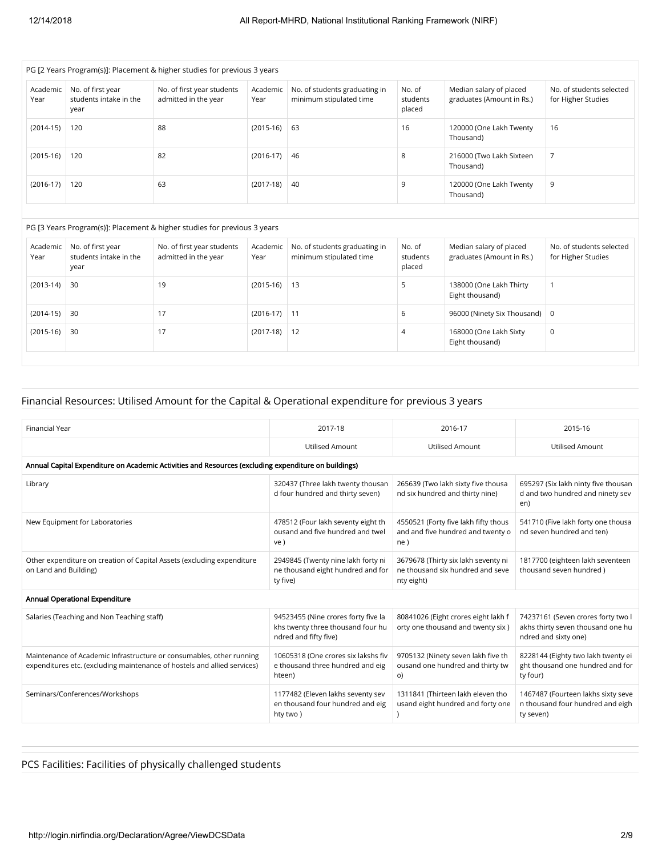| PG [2 Years Program(s)]: Placement & higher studies for previous 3 years |                                                     |                                                    |                  |                                                          |                              |                                                      |                                                |  |  |  |  |
|--------------------------------------------------------------------------|-----------------------------------------------------|----------------------------------------------------|------------------|----------------------------------------------------------|------------------------------|------------------------------------------------------|------------------------------------------------|--|--|--|--|
| Academic<br>Year                                                         | No. of first year<br>students intake in the<br>year | No. of first year students<br>admitted in the year | Academic<br>Year | No. of students graduating in<br>minimum stipulated time | No. of<br>students<br>placed | Median salary of placed<br>graduates (Amount in Rs.) | No. of students selected<br>for Higher Studies |  |  |  |  |
| $(2014-15)$                                                              | 120                                                 | 88                                                 | $(2015-16)$ 63   |                                                          | 16                           | 120000 (One Lakh Twenty<br>Thousand)                 | 16                                             |  |  |  |  |
| $(2015-16)$                                                              | 120                                                 | 82                                                 | $(2016-17)$      | -46                                                      | 8                            | 216000 (Two Lakh Sixteen<br>Thousand)                |                                                |  |  |  |  |
| $(2016-17)$                                                              | 120                                                 | 63                                                 | $(2017-18)$      | -40                                                      | 9                            | 120000 (One Lakh Twenty<br>Thousand)                 | 9                                              |  |  |  |  |

#### PG [3 Years Program(s)]: Placement & higher studies for previous 3 years

| Academic<br>Year | No. of first year<br>students intake in the<br>year | No. of first year students<br>admitted in the year | Academic<br>Year | No. of students graduating in<br>minimum stipulated time | No. of<br>students<br>placed | Median salary of placed<br>graduates (Amount in Rs.) | No. of students selected<br>for Higher Studies |
|------------------|-----------------------------------------------------|----------------------------------------------------|------------------|----------------------------------------------------------|------------------------------|------------------------------------------------------|------------------------------------------------|
| $(2013-14)$      | 30                                                  | 19                                                 | $(2015-16)$ 13   |                                                          |                              | 138000 (One Lakh Thirty<br>Eight thousand)           |                                                |
| $(2014-15)$      | 30                                                  | 17                                                 | $(2016-17)$ 11   |                                                          | b                            | 96000 (Ninety Six Thousand)   0                      |                                                |
| $(2015-16)$      | 30                                                  | 17                                                 | $(2017-18)$      | -12                                                      | 4                            | 168000 (One Lakh Sixty<br>Eight thousand)            | 0                                              |

#### Financial Resources: Utilised Amount for the Capital & Operational expenditure for previous 3 years

| <b>Financial Year</b>                                                                                                                            | 2017-18                                                                                           | 2016-17                                                                               | 2015-16                                                                                         |
|--------------------------------------------------------------------------------------------------------------------------------------------------|---------------------------------------------------------------------------------------------------|---------------------------------------------------------------------------------------|-------------------------------------------------------------------------------------------------|
|                                                                                                                                                  | <b>Utilised Amount</b>                                                                            | <b>Utilised Amount</b>                                                                | <b>Utilised Amount</b>                                                                          |
| Annual Capital Expenditure on Academic Activities and Resources (excluding expenditure on buildings)                                             |                                                                                                   |                                                                                       |                                                                                                 |
| Library                                                                                                                                          | 320437 (Three lakh twenty thousan<br>d four hundred and thirty seven)                             | 265639 (Two lakh sixty five thousa<br>nd six hundred and thirty nine)                 | 695297 (Six lakh ninty five thousan<br>d and two hundred and ninety sev<br>en)                  |
| New Equipment for Laboratories                                                                                                                   | 478512 (Four lakh seventy eight th<br>ousand and five hundred and twel<br>ve)                     | 4550521 (Forty five lakh fifty thous<br>and and five hundred and twenty o<br>ne)      | 541710 (Five lakh forty one thousa<br>nd seven hundred and ten)                                 |
| Other expenditure on creation of Capital Assets (excluding expenditure<br>on Land and Building)                                                  | 2949845 (Twenty nine lakh forty ni<br>ne thousand eight hundred and for<br>ty five)               | 3679678 (Thirty six lakh seventy ni<br>ne thousand six hundred and seve<br>nty eight) | 1817700 (eighteen lakh seventeen<br>thousand seven hundred)                                     |
| Annual Operational Expenditure                                                                                                                   |                                                                                                   |                                                                                       |                                                                                                 |
| Salaries (Teaching and Non Teaching staff)                                                                                                       | 94523455 (Nine crores forty five la<br>khs twenty three thousand four hu<br>ndred and fifty five) | 80841026 (Eight crores eight lakh f<br>orty one thousand and twenty six)              | 74237161 (Seven crores forty two I<br>akhs thirty seven thousand one hu<br>ndred and sixty one) |
| Maintenance of Academic Infrastructure or consumables, other running<br>expenditures etc. (excluding maintenance of hostels and allied services) | 10605318 (One crores six lakshs fiv<br>e thousand three hundred and eig<br>hteen)                 | 9705132 (Ninety seven lakh five th<br>ousand one hundred and thirty tw<br>O)          | 8228144 (Eighty two lakh twenty ei<br>ght thousand one hundred and for<br>ty four)              |
| Seminars/Conferences/Workshops                                                                                                                   | 1177482 (Eleven lakhs seventy sev<br>en thousand four hundred and eig<br>hty two)                 | 1311841 (Thirteen lakh eleven tho<br>usand eight hundred and forty one                | 1467487 (Fourteen lakhs sixty seve<br>n thousand four hundred and eigh<br>ty seven)             |

## PCS Facilities: Facilities of physically challenged students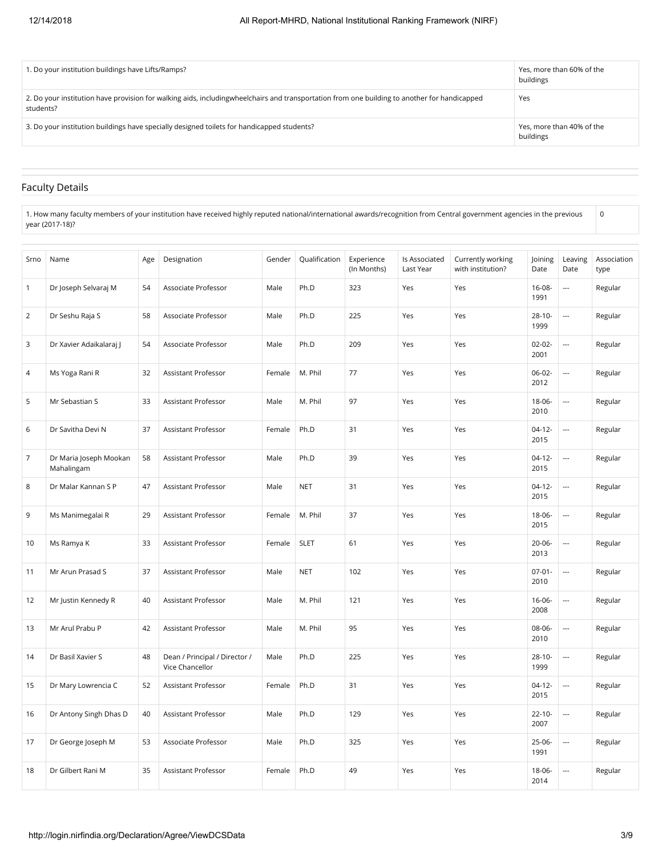| 1. Do your institution buildings have Lifts/Ramps?                                                                                                        | Yes, more than 60% of the<br>buildings |
|-----------------------------------------------------------------------------------------------------------------------------------------------------------|----------------------------------------|
| 2. Do your institution have provision for walking aids, includingwheelchairs and transportation from one building to another for handicapped<br>students? | Yes                                    |
| 3. Do your institution buildings have specially designed toilets for handicapped students?                                                                | Yes, more than 40% of the<br>buildings |

### Faculty Details

1. How many faculty members of your institution have received highly reputed national/international awards/recognition from Central government agencies in the previous year (2017-18)?  $\mathbf 0$ 

| Srno           | Name                                 | Age | Designation                                      | Gender | Qualification | Experience<br>(In Months) | Is Associated<br>Last Year | Currently working<br>with institution? | Joining<br>Date     | Leaving<br>Date          | Association<br>type |
|----------------|--------------------------------------|-----|--------------------------------------------------|--------|---------------|---------------------------|----------------------------|----------------------------------------|---------------------|--------------------------|---------------------|
| $\overline{1}$ | Dr Joseph Selvaraj M                 | 54  | Associate Professor                              | Male   | Ph.D          | 323                       | Yes                        | Yes                                    | $16 - 08 -$<br>1991 | $\overline{a}$           | Regular             |
| 2              | Dr Seshu Raja S                      | 58  | Associate Professor                              | Male   | Ph.D          | 225                       | Yes                        | Yes                                    | $28 - 10 -$<br>1999 | $\overline{a}$           | Regular             |
| 3              | Dr Xavier Adaikalaraj J              | 54  | Associate Professor                              | Male   | Ph.D          | 209                       | Yes                        | Yes                                    | $02 - 02 -$<br>2001 | $\overline{a}$           | Regular             |
| $\overline{4}$ | Ms Yoga Rani R                       | 32  | Assistant Professor                              | Female | M. Phil       | 77                        | Yes                        | Yes                                    | 06-02-<br>2012      | $\overline{a}$           | Regular             |
| 5              | Mr Sebastian S                       | 33  | Assistant Professor                              | Male   | M. Phil       | 97                        | Yes                        | Yes                                    | 18-06-<br>2010      | $\overline{a}$           | Regular             |
| 6              | Dr Savitha Devi N                    | 37  | Assistant Professor                              | Female | Ph.D          | 31                        | Yes                        | Yes                                    | $04-12-$<br>2015    | $\overline{\phantom{a}}$ | Regular             |
| $\overline{7}$ | Dr Maria Joseph Mookan<br>Mahalingam | 58  | <b>Assistant Professor</b>                       | Male   | Ph.D          | 39                        | Yes                        | Yes                                    | $04-12-$<br>2015    | $\overline{\phantom{a}}$ | Regular             |
| 8              | Dr Malar Kannan S P                  | 47  | Assistant Professor                              | Male   | <b>NET</b>    | 31                        | Yes                        | Yes                                    | $04-12-$<br>2015    | ---                      | Regular             |
| 9              | Ms Manimegalai R                     | 29  | Assistant Professor                              | Female | M. Phil       | 37                        | Yes                        | Yes                                    | $18 - 06 -$<br>2015 | $\overline{a}$           | Regular             |
| 10             | Ms Ramya K                           | 33  | Assistant Professor                              | Female | <b>SLET</b>   | 61                        | Yes                        | Yes                                    | $20 - 06 -$<br>2013 | $\overline{a}$           | Regular             |
| 11             | Mr Arun Prasad S                     | 37  | Assistant Professor                              | Male   | <b>NET</b>    | 102                       | Yes                        | Yes                                    | $07 - 01 -$<br>2010 | $\overline{a}$           | Regular             |
| 12             | Mr Justin Kennedy R                  | 40  | Assistant Professor                              | Male   | M. Phil       | 121                       | Yes                        | Yes                                    | $16 - 06 -$<br>2008 | $\overline{a}$           | Regular             |
| 13             | Mr Arul Prabu P                      | 42  | Assistant Professor                              | Male   | M. Phil       | 95                        | Yes                        | Yes                                    | 08-06-<br>2010      | $\overline{a}$           | Regular             |
| 14             | Dr Basil Xavier S                    | 48  | Dean / Principal / Director /<br>Vice Chancellor | Male   | Ph.D          | 225                       | Yes                        | Yes                                    | $28-10-$<br>1999    | $\overline{a}$           | Regular             |
| 15             | Dr Mary Lowrencia C                  | 52  | Assistant Professor                              | Female | Ph.D          | 31                        | Yes                        | Yes                                    | $04-12-$<br>2015    | $\overline{a}$           | Regular             |
| 16             | Dr Antony Singh Dhas D               | 40  | Assistant Professor                              | Male   | Ph.D          | 129                       | Yes                        | Yes                                    | $22 - 10 -$<br>2007 | $\overline{\phantom{a}}$ | Regular             |
| 17             | Dr George Joseph M                   | 53  | Associate Professor                              | Male   | Ph.D          | 325                       | Yes                        | Yes                                    | 25-06-<br>1991      | $\overline{a}$           | Regular             |
| 18             | Dr Gilbert Rani M                    | 35  | <b>Assistant Professor</b>                       | Female | Ph.D          | 49                        | Yes                        | Yes                                    | $18 - 06 -$<br>2014 | $\overline{\phantom{a}}$ | Regular             |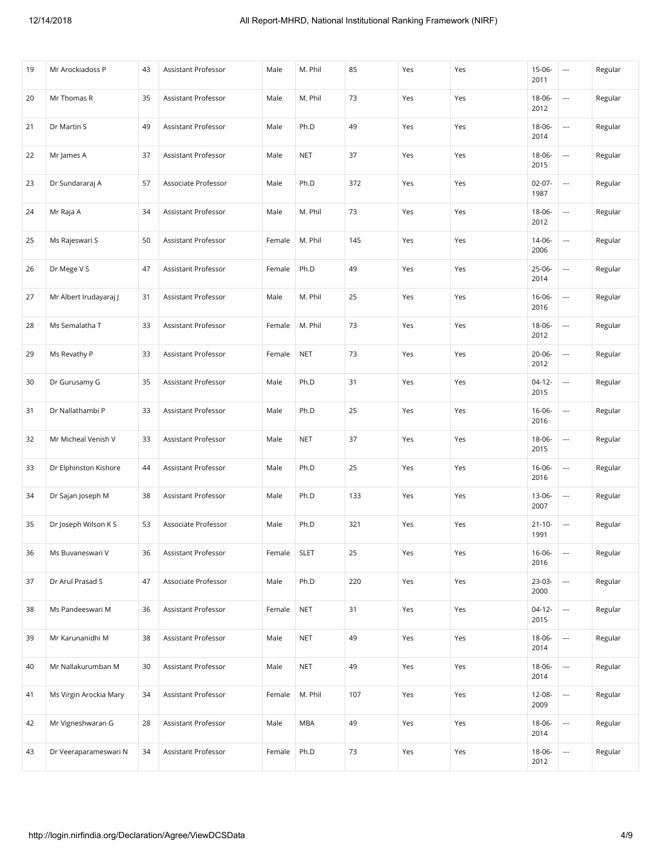| 19 | Mr Arockiadoss P       | 43 | Assistant Professor | Male   | M. Phil     | 85  | Yes | Yes | $15 - 06 -$<br>2011 | $\overline{\phantom{a}}$ | Regular |
|----|------------------------|----|---------------------|--------|-------------|-----|-----|-----|---------------------|--------------------------|---------|
| 20 | Mr Thomas R            | 35 | Assistant Professor | Male   | M. Phil     | 73  | Yes | Yes | $18 - 06 -$<br>2012 | $\overline{\phantom{a}}$ | Regular |
| 21 | Dr Martin S            | 49 | Assistant Professor | Male   | Ph.D        | 49  | Yes | Yes | 18-06-<br>2014      | $\overline{a}$           | Regular |
| 22 | Mr James A             | 37 | Assistant Professor | Male   | <b>NET</b>  | 37  | Yes | Yes | 18-06-<br>2015      | $\overline{a}$           | Regular |
| 23 | Dr Sundararaj A        | 57 | Associate Professor | Male   | Ph.D        | 372 | Yes | Yes | $02 - 07 -$<br>1987 | $\overline{\phantom{a}}$ | Regular |
| 24 | Mr Raja A              | 34 | Assistant Professor | Male   | M. Phil     | 73  | Yes | Yes | 18-06-<br>2012      | $\overline{a}$           | Regular |
| 25 | Ms Rajeswari S         | 50 | Assistant Professor | Female | M. Phil     | 145 | Yes | Yes | $14 - 06 -$<br>2006 | $\overline{a}$           | Regular |
| 26 | Dr Mege V S            | 47 | Assistant Professor | Female | Ph.D        | 49  | Yes | Yes | $25-06-$<br>2014    | $\overline{\phantom{a}}$ | Regular |
| 27 | Mr Albert Irudayaraj J | 31 | Assistant Professor | Male   | M. Phil     | 25  | Yes | Yes | $16 - 06 -$<br>2016 | ---                      | Regular |
| 28 | Ms Semalatha T         | 33 | Assistant Professor | Female | M. Phil     | 73  | Yes | Yes | 18-06-<br>2012      | $\overline{a}$           | Regular |
| 29 | Ms Revathy P           | 33 | Assistant Professor | Female | <b>NET</b>  | 73  | Yes | Yes | $20 - 06 -$<br>2012 | $\overline{\phantom{a}}$ | Regular |
| 30 | Dr Gurusamy G          | 35 | Assistant Professor | Male   | Ph.D        | 31  | Yes | Yes | $04-12-$<br>2015    | $\overline{a}$           | Regular |
| 31 | Dr Nallathambi P       | 33 | Assistant Professor | Male   | Ph.D        | 25  | Yes | Yes | $16 - 06 -$<br>2016 | $\overline{\phantom{a}}$ | Regular |
| 32 | Mr Micheal Venish V    | 33 | Assistant Professor | Male   | <b>NET</b>  | 37  | Yes | Yes | 18-06-<br>2015      | $\overline{\phantom{a}}$ | Regular |
| 33 | Dr Elphinston Kishore  | 44 | Assistant Professor | Male   | Ph.D        | 25  | Yes | Yes | $16 - 06 -$<br>2016 | ---                      | Regular |
| 34 | Dr Sajan Joseph M      | 38 | Assistant Professor | Male   | Ph.D        | 133 | Yes | Yes | 13-06-<br>2007      | $\overline{\phantom{a}}$ | Regular |
| 35 | Dr Joseph Wilson K S   | 53 | Associate Professor | Male   | Ph.D        | 321 | Yes | Yes | $21 - 10 -$<br>1991 | $\overline{\phantom{a}}$ | Regular |
| 36 | Ms Buvaneswari V       | 36 | Assistant Professor | Female | <b>SLET</b> | 25  | Yes | Yes | 16-06-<br>2016      | $\overline{a}$           | Regular |
| 37 | Dr Arul Prasad S       | 47 | Associate Professor | Male   | Ph.D        | 220 | Yes | Yes | 23-03-<br>2000      | $\overline{\phantom{a}}$ | Regular |
| 38 | Ms Pandeeswari M       | 36 | Assistant Professor | Female | <b>NET</b>  | 31  | Yes | Yes | $04-12-$<br>2015    | $\overline{\phantom{a}}$ | Regular |
| 39 | Mr Karunanidhi M       | 38 | Assistant Professor | Male   | <b>NET</b>  | 49  | Yes | Yes | 18-06-<br>2014      | $\overline{\phantom{a}}$ | Regular |
| 40 | Mr Nallakurumban M     | 30 | Assistant Professor | Male   | <b>NET</b>  | 49  | Yes | Yes | 18-06-<br>2014      | $\overline{\phantom{a}}$ | Regular |
| 41 | Ms Virgin Arockia Mary | 34 | Assistant Professor | Female | M. Phil     | 107 | Yes | Yes | 12-08-<br>2009      | $\overline{\phantom{a}}$ | Regular |
| 42 | Mr Vigneshwaran G      | 28 | Assistant Professor | Male   | MBA         | 49  | Yes | Yes | 18-06-<br>2014      | $\overline{\phantom{a}}$ | Regular |
| 43 | Dr Veeraparameswari N  | 34 | Assistant Professor | Female | Ph.D        | 73  | Yes | Yes | 18-06-<br>2012      |                          | Regular |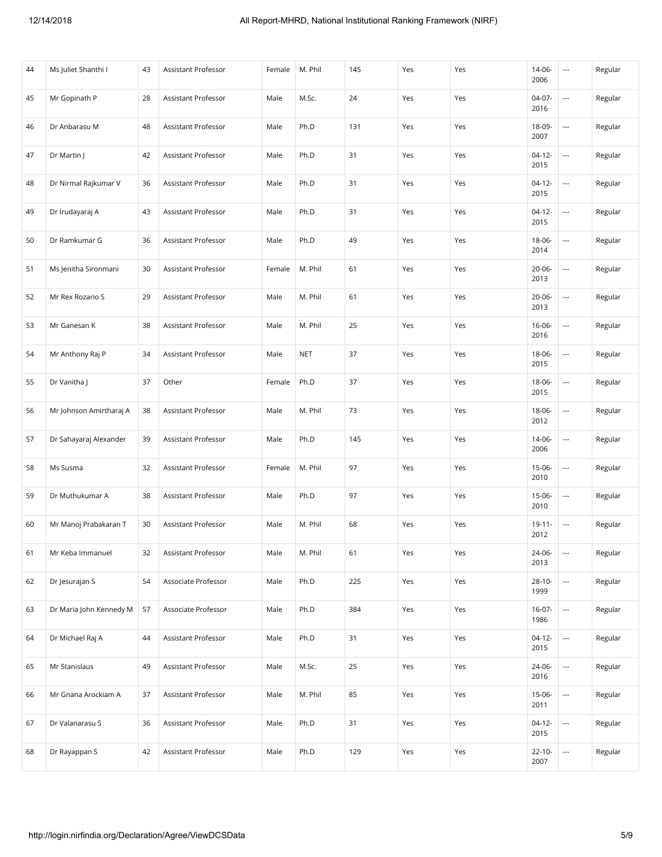| 44 | Ms Juliet Shanthi I     | 43 | Assistant Professor | Female | M. Phil    | 145 | Yes | Yes | $14 - 06 -$<br>2006 | $\overline{\phantom{a}}$ | Regular |
|----|-------------------------|----|---------------------|--------|------------|-----|-----|-----|---------------------|--------------------------|---------|
| 45 | Mr Gopinath P           | 28 | Assistant Professor | Male   | M.Sc.      | 24  | Yes | Yes | 04-07-<br>2016      | ---                      | Regular |
| 46 | Dr Anbarasu M           | 48 | Assistant Professor | Male   | Ph.D       | 131 | Yes | Yes | 18-09-<br>2007      | ---                      | Regular |
| 47 | Dr Martin J             | 42 | Assistant Professor | Male   | Ph.D       | 31  | Yes | Yes | $04-12-$<br>2015    |                          | Regular |
| 48 | Dr Nirmal Rajkumar V    | 36 | Assistant Professor | Male   | Ph.D       | 31  | Yes | Yes | $04-12-$<br>2015    | ---                      | Regular |
| 49 | Dr Irudayaraj A         | 43 | Assistant Professor | Male   | Ph.D       | 31  | Yes | Yes | $04-12-$<br>2015    | ---                      | Regular |
| 50 | Dr Ramkumar G           | 36 | Assistant Professor | Male   | Ph.D       | 49  | Yes | Yes | $18 - 06 -$<br>2014 | ---                      | Regular |
| 51 | Ms Jenitha Sironmani    | 30 | Assistant Professor | Female | M. Phil    | 61  | Yes | Yes | $20 - 06 -$<br>2013 | $\overline{a}$           | Regular |
| 52 | Mr Rex Rozario S        | 29 | Assistant Professor | Male   | M. Phil    | 61  | Yes | Yes | $20 - 06 -$<br>2013 |                          | Regular |
| 53 | Mr Ganesan K            | 38 | Assistant Professor | Male   | M. Phil    | 25  | Yes | Yes | $16 - 06 -$<br>2016 | ---                      | Regular |
| 54 | Mr Anthony Raj P        | 34 | Assistant Professor | Male   | <b>NET</b> | 37  | Yes | Yes | $18 - 06 -$<br>2015 | ---                      | Regular |
| 55 | Dr Vanitha J            | 37 | Other               | Female | Ph.D       | 37  | Yes | Yes | 18-06-<br>2015      | ---                      | Regular |
| 56 | Mr Johnson Amirtharaj A | 38 | Assistant Professor | Male   | M. Phil    | 73  | Yes | Yes | $18 - 06 -$<br>2012 | ---                      | Regular |
| 57 | Dr Sahayaraj Alexander  | 39 | Assistant Professor | Male   | Ph.D       | 145 | Yes | Yes | 14-06-<br>2006      | ---                      | Regular |
| 58 | Ms Susma                | 32 | Assistant Professor | Female | M. Phil    | 97  | Yes | Yes | $15 - 06 -$<br>2010 | ---                      | Regular |
| 59 | Dr Muthukumar A         | 38 | Assistant Professor | Male   | Ph.D       | 97  | Yes | Yes | $15-06-$<br>2010    | $\overline{a}$           | Regular |
| 60 | Mr Manoj Prabakaran T   | 30 | Assistant Professor | Male   | M. Phil    | 68  | Yes | Yes | $19 - 11 -$<br>2012 | ---                      | Regular |
| 61 | Mr Keba Immanuel        | 32 | Assistant Professor | Male   | M. Phil    | 61  | Yes | Yes | 24-06-<br>2013      | ---                      | Regular |
| 62 | Dr Jesurajan S          | 54 | Associate Professor | Male   | Ph.D       | 225 | Yes | Yes | $28 - 10 -$<br>1999 |                          | Regular |
| 63 | Dr Maria John Kennedy M | 57 | Associate Professor | Male   | Ph.D       | 384 | Yes | Yes | $16-07-$<br>1986    |                          | Regular |
| 64 | Dr Michael Raj A        | 44 | Assistant Professor | Male   | Ph.D       | 31  | Yes | Yes | $04-12-$<br>2015    | $\overline{\phantom{a}}$ | Regular |
| 65 | Mr Stanislaus           | 49 | Assistant Professor | Male   | M.Sc.      | 25  | Yes | Yes | 24-06-<br>2016      | $\overline{\phantom{a}}$ | Regular |
| 66 | Mr Gnana Arockiam A     | 37 | Assistant Professor | Male   | M. Phil    | 85  | Yes | Yes | $15-06-$<br>2011    |                          | Regular |
| 67 | Dr Valanarasu S         | 36 | Assistant Professor | Male   | Ph.D       | 31  | Yes | Yes | $04-12-$<br>2015    | $\overline{\phantom{a}}$ | Regular |
| 68 | Dr Rayappan S           | 42 | Assistant Professor | Male   | Ph.D       | 129 | Yes | Yes | $22 - 10 -$<br>2007 |                          | Regular |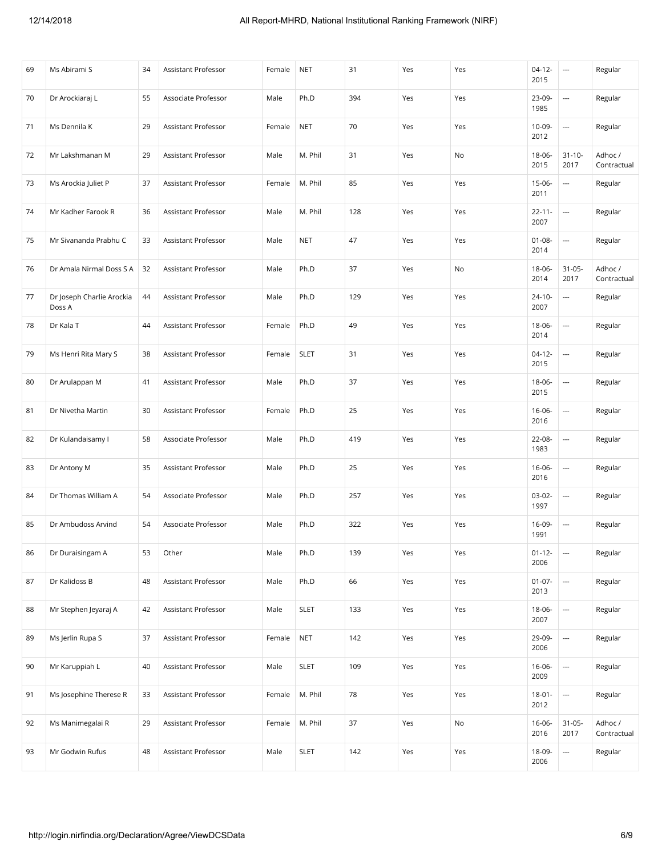| 69 | Ms Abirami S                        | 34 | Assistant Professor | Female | <b>NET</b>  | 31  | Yes | Yes | $04-12-$<br>2015    | $\overline{\phantom{a}}$ | Regular                |
|----|-------------------------------------|----|---------------------|--------|-------------|-----|-----|-----|---------------------|--------------------------|------------------------|
| 70 | Dr Arockiaraj L                     | 55 | Associate Professor | Male   | Ph.D        | 394 | Yes | Yes | 23-09-<br>1985      | $\overline{\phantom{a}}$ | Regular                |
| 71 | Ms Dennila K                        | 29 | Assistant Professor | Female | <b>NET</b>  | 70  | Yes | Yes | 10-09-<br>2012      | $\overline{a}$           | Regular                |
| 72 | Mr Lakshmanan M                     | 29 | Assistant Professor | Male   | M. Phil     | 31  | Yes | No  | 18-06-<br>2015      | $31 - 10 -$<br>2017      | Adhoc /<br>Contractual |
| 73 | Ms Arockia Juliet P                 | 37 | Assistant Professor | Female | M. Phil     | 85  | Yes | Yes | $15-06-$<br>2011    | $\overline{\phantom{a}}$ | Regular                |
| 74 | Mr Kadher Farook R                  | 36 | Assistant Professor | Male   | M. Phil     | 128 | Yes | Yes | $22 - 11 -$<br>2007 | ---                      | Regular                |
| 75 | Mr Sivananda Prabhu C               | 33 | Assistant Professor | Male   | <b>NET</b>  | 47  | Yes | Yes | $01 - 08 -$<br>2014 | $\overline{a}$           | Regular                |
| 76 | Dr Amala Nirmal Doss S A            | 32 | Assistant Professor | Male   | Ph.D        | 37  | Yes | No  | 18-06-<br>2014      | $31 - 05 -$<br>2017      | Adhoc /<br>Contractual |
| 77 | Dr Joseph Charlie Arockia<br>Doss A | 44 | Assistant Professor | Male   | Ph.D        | 129 | Yes | Yes | $24 - 10 -$<br>2007 | $\overline{\phantom{a}}$ | Regular                |
| 78 | Dr Kala T                           | 44 | Assistant Professor | Female | Ph.D        | 49  | Yes | Yes | 18-06-<br>2014      | $\overline{\phantom{a}}$ | Regular                |
| 79 | Ms Henri Rita Mary S                | 38 | Assistant Professor | Female | <b>SLET</b> | 31  | Yes | Yes | $04-12-$<br>2015    | $\hspace{0.05cm} \ldots$ | Regular                |
| 80 | Dr Arulappan M                      | 41 | Assistant Professor | Male   | Ph.D        | 37  | Yes | Yes | 18-06-<br>2015      | $\overline{a}$           | Regular                |
| 81 | Dr Nivetha Martin                   | 30 | Assistant Professor | Female | Ph.D        | 25  | Yes | Yes | $16 - 06 -$<br>2016 | $\overline{\phantom{a}}$ | Regular                |
| 82 | Dr Kulandaisamy I                   | 58 | Associate Professor | Male   | Ph.D        | 419 | Yes | Yes | 22-08-<br>1983      | $\hspace{0.05cm} \ldots$ | Regular                |
| 83 | Dr Antony M                         | 35 | Assistant Professor | Male   | Ph.D        | 25  | Yes | Yes | $16 - 06 -$<br>2016 | $\overline{a}$           | Regular                |
| 84 | Dr Thomas William A                 | 54 | Associate Professor | Male   | Ph.D        | 257 | Yes | Yes | 03-02-<br>1997      | $\overline{\phantom{a}}$ | Regular                |
| 85 | Dr Ambudoss Arvind                  | 54 | Associate Professor | Male   | Ph.D        | 322 | Yes | Yes | 16-09-<br>1991      | $\overline{\phantom{a}}$ | Regular                |
| 86 | Dr Duraisingam A                    | 53 | Other               | Male   | Ph.D        | 139 | Yes | Yes | $01 - 12 -$<br>2006 | ---                      | Regular                |
| 87 | Dr Kalidoss B                       | 48 | Assistant Professor | Male   | Ph.D        | 66  | Yes | Yes | $01 - 07 -$<br>2013 | $\overline{\phantom{a}}$ | Regular                |
| 88 | Mr Stephen Jeyaraj A                | 42 | Assistant Professor | Male   | <b>SLET</b> | 133 | Yes | Yes | 18-06-<br>2007      | $\overline{\phantom{a}}$ | Regular                |
| 89 | Ms Jerlin Rupa S                    | 37 | Assistant Professor | Female | <b>NET</b>  | 142 | Yes | Yes | 29-09-<br>2006      | $\overline{\phantom{a}}$ | Regular                |
| 90 | Mr Karuppiah L                      | 40 | Assistant Professor | Male   | <b>SLET</b> | 109 | Yes | Yes | $16 - 06 -$<br>2009 | $\overline{\phantom{a}}$ | Regular                |
| 91 | Ms Josephine Therese R              | 33 | Assistant Professor | Female | M. Phil     | 78  | Yes | Yes | $18 - 01 -$<br>2012 | $\overline{\phantom{a}}$ | Regular                |
| 92 | Ms Manimegalai R                    | 29 | Assistant Professor | Female | M. Phil     | 37  | Yes | No  | 16-06-<br>2016      | $31 - 05 -$<br>2017      | Adhoc /<br>Contractual |
| 93 | Mr Godwin Rufus                     | 48 | Assistant Professor | Male   | <b>SLET</b> | 142 | Yes | Yes | 18-09-<br>2006      | $\overline{\phantom{a}}$ | Regular                |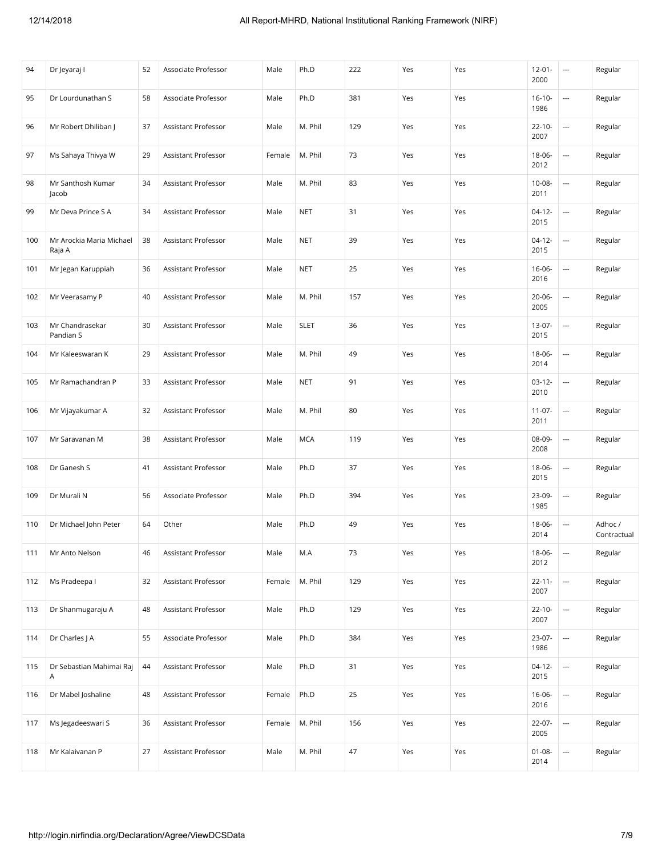| 94  | Dr Jeyaraj I                       | 52 | Associate Professor        | Male   | Ph.D        | 222 | Yes | Yes | $12 - 01 -$<br>2000 | $\overline{\phantom{a}}$ | Regular                |
|-----|------------------------------------|----|----------------------------|--------|-------------|-----|-----|-----|---------------------|--------------------------|------------------------|
| 95  | Dr Lourdunathan S                  | 58 | Associate Professor        | Male   | Ph.D        | 381 | Yes | Yes | $16-10-$<br>1986    | $\overline{\phantom{a}}$ | Regular                |
| 96  | Mr Robert Dhiliban                 | 37 | Assistant Professor        | Male   | M. Phil     | 129 | Yes | Yes | $22 - 10 -$<br>2007 | $\overline{\phantom{a}}$ | Regular                |
| 97  | Ms Sahaya Thivya W                 | 29 | Assistant Professor        | Female | M. Phil     | 73  | Yes | Yes | 18-06-<br>2012      | $\overline{\phantom{a}}$ | Regular                |
| 98  | Mr Santhosh Kumar<br>Jacob         | 34 | Assistant Professor        | Male   | M. Phil     | 83  | Yes | Yes | $10 - 08 -$<br>2011 | $\overline{\phantom{a}}$ | Regular                |
| 99  | Mr Deva Prince S A                 | 34 | Assistant Professor        | Male   | <b>NET</b>  | 31  | Yes | Yes | $04-12-$<br>2015    | $\overline{\phantom{a}}$ | Regular                |
| 100 | Mr Arockia Maria Michael<br>Raja A | 38 | Assistant Professor        | Male   | <b>NET</b>  | 39  | Yes | Yes | $04 - 12 -$<br>2015 | $\overline{a}$           | Regular                |
| 101 | Mr Jegan Karuppiah                 | 36 | Assistant Professor        | Male   | <b>NET</b>  | 25  | Yes | Yes | $16 - 06 -$<br>2016 | $\overline{\phantom{a}}$ | Regular                |
| 102 | Mr Veerasamy P                     | 40 | <b>Assistant Professor</b> | Male   | M. Phil     | 157 | Yes | Yes | $20 - 06 -$<br>2005 | $\hspace{0.05cm} \ldots$ | Regular                |
| 103 | Mr Chandrasekar<br>Pandian S       | 30 | Assistant Professor        | Male   | <b>SLET</b> | 36  | Yes | Yes | 13-07-<br>2015      | $\overline{\phantom{a}}$ | Regular                |
| 104 | Mr Kaleeswaran K                   | 29 | Assistant Professor        | Male   | M. Phil     | 49  | Yes | Yes | 18-06-<br>2014      | $\overline{a}$           | Regular                |
| 105 | Mr Ramachandran P                  | 33 | Assistant Professor        | Male   | <b>NET</b>  | 91  | Yes | Yes | $03-12-$<br>2010    | $\overline{a}$           | Regular                |
| 106 | Mr Vijayakumar A                   | 32 | Assistant Professor        | Male   | M. Phil     | 80  | Yes | Yes | $11 - 07 -$<br>2011 | $\overline{\phantom{a}}$ | Regular                |
| 107 | Mr Saravanan M                     | 38 | Assistant Professor        | Male   | <b>MCA</b>  | 119 | Yes | Yes | 08-09-<br>2008      | $\hspace{0.05cm} \ldots$ | Regular                |
| 108 | Dr Ganesh S                        | 41 | Assistant Professor        | Male   | Ph.D        | 37  | Yes | Yes | 18-06-<br>2015      | ---                      | Regular                |
| 109 | Dr Murali N                        | 56 | Associate Professor        | Male   | Ph.D        | 394 | Yes | Yes | 23-09-<br>1985      | $\overline{\phantom{a}}$ | Regular                |
| 110 | Dr Michael John Peter              | 64 | Other                      | Male   | Ph.D        | 49  | Yes | Yes | 18-06-<br>2014      | $\overline{\phantom{a}}$ | Adhoc /<br>Contractual |
| 111 | Mr Anto Nelson                     | 46 | Assistant Professor        | Male   | M.A         | 73  | Yes | Yes | 18-06-<br>2012      | $\overline{a}$           | Regular                |
| 112 | Ms Pradeepa I                      | 32 | Assistant Professor        | Female | M. Phil     | 129 | Yes | Yes | $22 - 11 -$<br>2007 | ---                      | Regular                |
| 113 | Dr Shanmugaraju A                  | 48 | Assistant Professor        | Male   | Ph.D        | 129 | Yes | Yes | $22 - 10 -$<br>2007 | $\overline{\phantom{a}}$ | Regular                |
| 114 | Dr Charles J A                     | 55 | Associate Professor        | Male   | Ph.D        | 384 | Yes | Yes | 23-07-<br>1986      | ---                      | Regular                |
| 115 | Dr Sebastian Mahimai Raj<br>Α      | 44 | Assistant Professor        | Male   | Ph.D        | 31  | Yes | Yes | $04-12-$<br>2015    | $\overline{\phantom{a}}$ | Regular                |
| 116 | Dr Mabel Joshaline                 | 48 | Assistant Professor        | Female | Ph.D        | 25  | Yes | Yes | 16-06-<br>2016      |                          | Regular                |
| 117 | Ms Jegadeeswari S                  | 36 | Assistant Professor        | Female | M. Phil     | 156 | Yes | Yes | 22-07-<br>2005      | ---                      | Regular                |
| 118 | Mr Kalaivanan P                    | 27 | Assistant Professor        | Male   | M. Phil     | 47  | Yes | Yes | $01 - 08 -$<br>2014 |                          | Regular                |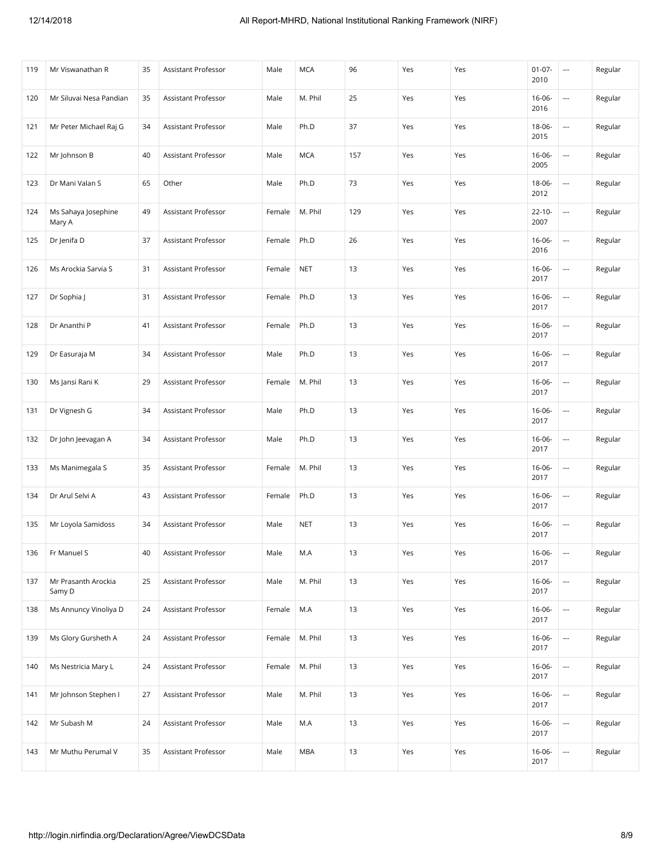| 119 | Mr Viswanathan R              | 35 | Assistant Professor        | Male   | <b>MCA</b> | 96  | Yes | Yes | $01 - 07 -$<br>2010 | $\overline{\phantom{a}}$ | Regular |
|-----|-------------------------------|----|----------------------------|--------|------------|-----|-----|-----|---------------------|--------------------------|---------|
| 120 | Mr Siluvai Nesa Pandian       | 35 | Assistant Professor        | Male   | M. Phil    | 25  | Yes | Yes | $16 - 06 -$<br>2016 | $\overline{\phantom{a}}$ | Regular |
| 121 | Mr Peter Michael Raj G        | 34 | Assistant Professor        | Male   | Ph.D       | 37  | Yes | Yes | 18-06-<br>2015      | $\overline{\phantom{a}}$ | Regular |
| 122 | Mr Johnson B                  | 40 | Assistant Professor        | Male   | <b>MCA</b> | 157 | Yes | Yes | $16 - 06 -$<br>2005 | $\overline{a}$           | Regular |
| 123 | Dr Mani Valan S               | 65 | Other                      | Male   | Ph.D       | 73  | Yes | Yes | 18-06-<br>2012      | $\overline{\phantom{a}}$ | Regular |
| 124 | Ms Sahaya Josephine<br>Mary A | 49 | Assistant Professor        | Female | M. Phil    | 129 | Yes | Yes | $22 - 10 -$<br>2007 | $\overline{a}$           | Regular |
| 125 | Dr Jenifa D                   | 37 | Assistant Professor        | Female | Ph.D       | 26  | Yes | Yes | $16 - 06 -$<br>2016 | $\overline{a}$           | Regular |
| 126 | Ms Arockia Sarvia S           | 31 | Assistant Professor        | Female | <b>NET</b> | 13  | Yes | Yes | $16 - 06 -$<br>2017 | $\overline{\phantom{a}}$ | Regular |
| 127 | Dr Sophia J                   | 31 | Assistant Professor        | Female | Ph.D       | 13  | Yes | Yes | $16 - 06 -$<br>2017 | $\overline{a}$           | Regular |
| 128 | Dr Ananthi P                  | 41 | <b>Assistant Professor</b> | Female | Ph.D       | 13  | Yes | Yes | $16 - 06 -$<br>2017 | $\overline{\phantom{a}}$ | Regular |
| 129 | Dr Easuraja M                 | 34 | Assistant Professor        | Male   | Ph.D       | 13  | Yes | Yes | $16 - 06 -$<br>2017 | $\overline{\phantom{a}}$ | Regular |
| 130 | Ms Jansi Rani K               | 29 | Assistant Professor        | Female | M. Phil    | 13  | Yes | Yes | $16 - 06 -$<br>2017 | $\overline{a}$           | Regular |
| 131 | Dr Vignesh G                  | 34 | Assistant Professor        | Male   | Ph.D       | 13  | Yes | Yes | $16 - 06 -$<br>2017 | $\overline{\phantom{a}}$ | Regular |
| 132 | Dr John Jeevagan A            | 34 | Assistant Professor        | Male   | Ph.D       | 13  | Yes | Yes | $16 - 06 -$<br>2017 | ---                      | Regular |
| 133 | Ms Manimegala S               | 35 | Assistant Professor        | Female | M. Phil    | 13  | Yes | Yes | $16 - 06 -$<br>2017 | $\overline{a}$           | Regular |
| 134 | Dr Arul Selvi A               | 43 | Assistant Professor        | Female | Ph.D       | 13  | Yes | Yes | $16 - 06 -$<br>2017 | $\overline{\phantom{a}}$ | Regular |
| 135 | Mr Loyola Samidoss            | 34 | Assistant Professor        | Male   | <b>NET</b> | 13  | Yes | Yes | $16 - 06 -$<br>2017 | $\overline{\phantom{a}}$ | Regular |
| 136 | Fr Manuel S                   | 40 | Assistant Professor        | Male   | $M.A$      | 13  | Yes | Yes | $16 - 06 -$<br>2017 | ---                      | Regular |
| 137 | Mr Prasanth Arockia<br>Samy D | 25 | Assistant Professor        | Male   | M. Phil    | 13  | Yes | Yes | $16 - 06 -$<br>2017 |                          | Regular |
| 138 | Ms Annuncy Vinoliya D         | 24 | Assistant Professor        | Female | M.A        | 13  | Yes | Yes | $16 - 06 -$<br>2017 |                          | Regular |
| 139 | Ms Glory Gursheth A           | 24 | Assistant Professor        | Female | M. Phil    | 13  | Yes | Yes | $16 - 06 -$<br>2017 | $\hspace{0.05cm} \ldots$ | Regular |
| 140 | Ms Nestricia Mary L           | 24 | Assistant Professor        | Female | M. Phil    | 13  | Yes | Yes | $16 - 06 -$<br>2017 | $\overline{\phantom{a}}$ | Regular |
| 141 | Mr Johnson Stephen I          | 27 | Assistant Professor        | Male   | M. Phil    | 13  | Yes | Yes | $16 - 06 -$<br>2017 | $\overline{\phantom{a}}$ | Regular |
| 142 | Mr Subash M                   | 24 | Assistant Professor        | Male   | M.A        | 13  | Yes | Yes | $16 - 06 -$<br>2017 | $\overline{\phantom{a}}$ | Regular |
| 143 | Mr Muthu Perumal V            | 35 | Assistant Professor        | Male   | <b>MBA</b> | 13  | Yes | Yes | $16 - 06 -$<br>2017 | ---                      | Regular |